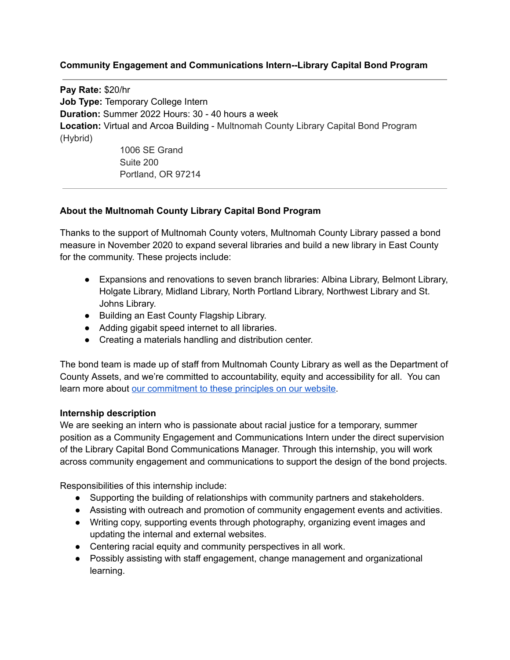## **Community Engagement and Communications Intern--Library Capital Bond Program**

**Pay Rate:** \$20/hr **Job Type:** Temporary College Intern **Duration:** Summer 2022 Hours: 30 - 40 hours a week **Location:** Virtual and Arcoa Building - Multnomah County Library Capital Bond Program (Hybrid) 1006 SE Grand Suite 200

Portland, OR 97214

## **About the Multnomah County Library Capital Bond Program**

Thanks to the support of Multnomah County voters, Multnomah County Library passed a bond measure in November 2020 to expand several libraries and build a new library in East County for the community. These projects include:

- Expansions and renovations to seven branch libraries: Albina Library, Belmont Library, Holgate Library, Midland Library, North Portland Library, Northwest Library and St. Johns Library.
- Building an East County Flagship Library.
- Adding gigabit speed internet to all libraries.
- Creating a materials handling and distribution center.

The bond team is made up of staff from Multnomah County Library as well as the Department of County Assets, and we're committed to accountability, equity and accessibility for all. You can learn more about our [commitment](https://multcolib.org/library-building-bond/capital-planning-project-principles) to these principles on our website.

## **Internship description**

We are seeking an intern who is passionate about racial justice for a temporary, summer position as a Community Engagement and Communications Intern under the direct supervision of the Library Capital Bond Communications Manager. Through this internship, you will work across community engagement and communications to support the design of the bond projects.

Responsibilities of this internship include:

- Supporting the building of relationships with community partners and stakeholders.
- Assisting with outreach and promotion of community engagement events and activities.
- Writing copy, supporting events through photography, organizing event images and updating the internal and external websites.
- Centering racial equity and community perspectives in all work.
- Possibly assisting with staff engagement, change management and organizational learning.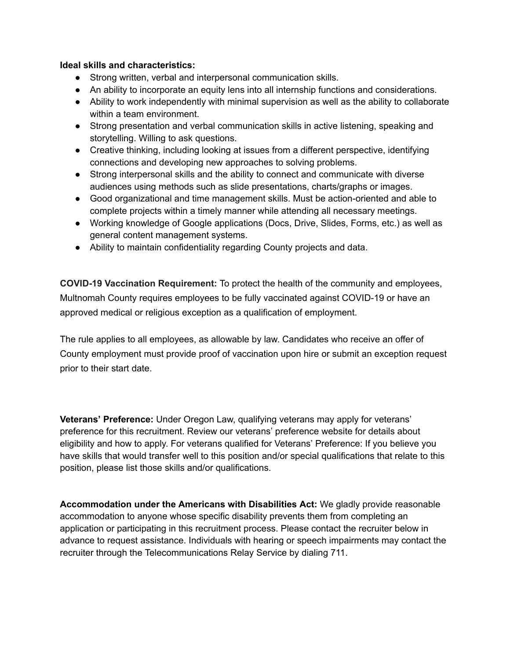## **Ideal skills and characteristics:**

- Strong written, verbal and interpersonal communication skills.
- An ability to incorporate an equity lens into all internship functions and considerations.
- Ability to work independently with minimal supervision as well as the ability to collaborate within a team environment.
- Strong presentation and verbal communication skills in active listening, speaking and storytelling. Willing to ask questions.
- Creative thinking, including looking at issues from a different perspective, identifying connections and developing new approaches to solving problems.
- Strong interpersonal skills and the ability to connect and communicate with diverse audiences using methods such as slide presentations, charts/graphs or images.
- Good organizational and time management skills. Must be action-oriented and able to complete projects within a timely manner while attending all necessary meetings.
- Working knowledge of Google applications (Docs, Drive, Slides, Forms, etc.) as well as general content management systems.
- Ability to maintain confidentiality regarding County projects and data.

**COVID-19 Vaccination Requirement:** To protect the health of the community and employees, Multnomah County requires employees to be fully vaccinated against COVID-19 or have an approved medical or religious exception as a qualification of employment.

The rule applies to all employees, as allowable by law. Candidates who receive an offer of County employment must provide proof of vaccination upon hire or submit an exception request prior to their start date.

**Veterans' Preference:** Under Oregon Law, qualifying veterans may apply for veterans' preference for this recruitment. Review our veterans' preference website for details about eligibility and how to apply. For veterans qualified for Veterans' Preference: If you believe you have skills that would transfer well to this position and/or special qualifications that relate to this position, please list those skills and/or qualifications.

**Accommodation under the Americans with Disabilities Act:** We gladly provide reasonable accommodation to anyone whose specific disability prevents them from completing an application or participating in this recruitment process. Please contact the recruiter below in advance to request assistance. Individuals with hearing or speech impairments may contact the recruiter through the Telecommunications Relay Service by dialing 711.